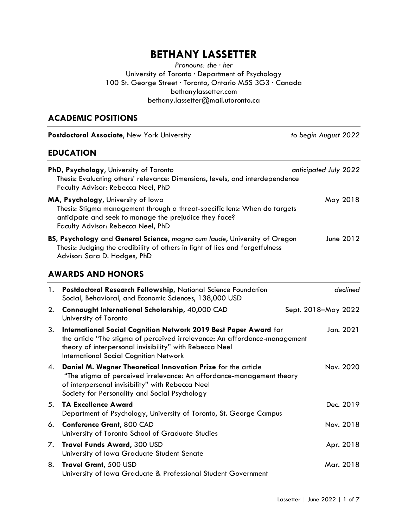# BETHANY LASSETTER

Pronouns: she ∙ her University of Toronto ∙ Department of Psychology 100 St. George Street ∙ Toronto, Ontario M5S 3G3 ∙ Canada bethanylassetter.com bethany.lassetter@mail.utoronto.ca

# ACADEMIC POSITIONS

| Postdoctoral Associate, New York University |                                                                                                                                                                                                                                                            | to begin August 2022  |  |
|---------------------------------------------|------------------------------------------------------------------------------------------------------------------------------------------------------------------------------------------------------------------------------------------------------------|-----------------------|--|
|                                             | <b>EDUCATION</b>                                                                                                                                                                                                                                           |                       |  |
|                                             | PhD, Psychology, University of Toronto<br>Thesis: Evaluating others' relevance: Dimensions, levels, and interdependence<br>Faculty Advisor: Rebecca Neel, PhD                                                                                              | anticipated July 2022 |  |
|                                             | MA, Psychology, University of Iowa<br>Thesis: Stigma management through a threat-specific lens: When do targets<br>anticipate and seek to manage the prejudice they face?<br>Faculty Advisor: Rebecca Neel, PhD                                            | May 2018              |  |
|                                             | BS, Psychology and General Science, magna cum laude, University of Oregon<br>Thesis: Judging the credibility of others in light of lies and forgetfulness<br>Advisor: Sara D. Hodges, PhD                                                                  | June 2012             |  |
|                                             | <b>AWARDS AND HONORS</b>                                                                                                                                                                                                                                   |                       |  |
| 1.                                          | Postdoctoral Research Fellowship, National Science Foundation<br>Social, Behavioral, and Economic Sciences, 138,000 USD                                                                                                                                    | declined              |  |
| 2.                                          | Connaught International Scholarship, 40,000 CAD<br>University of Toronto                                                                                                                                                                                   | Sept. 2018-May 2022   |  |
| 3.                                          | International Social Cognition Network 2019 Best Paper Award for<br>the article "The stigma of perceived irrelevance: An affordance-management<br>theory of interpersonal invisibility" with Rebecca Neel<br><b>International Social Cognition Network</b> | Jan. 2021             |  |
| 4.                                          | Daniel M. Wegner Theoretical Innovation Prize for the article<br>"The stigma of perceived irrelevance: An affordance-management theory<br>of interpersonal invisibility" with Rebecca Neel<br>Society for Personality and Social Psychology                | Nov. 2020             |  |
| 5.                                          | <b>TA Excellence Award</b><br>Department of Psychology, University of Toronto, St. George Campus                                                                                                                                                           | Dec. 2019             |  |
| 6.                                          | <b>Conference Grant, 800 CAD</b><br>University of Toronto School of Graduate Studies                                                                                                                                                                       | Nov. 2018             |  |
| 7.                                          | <b>Travel Funds Award, 300 USD</b><br>University of Iowa Graduate Student Senate                                                                                                                                                                           | Apr. 2018             |  |
| 8.                                          | Travel Grant, 500 USD<br>University of Iowa Graduate & Professional Student Government                                                                                                                                                                     | Mar. 2018             |  |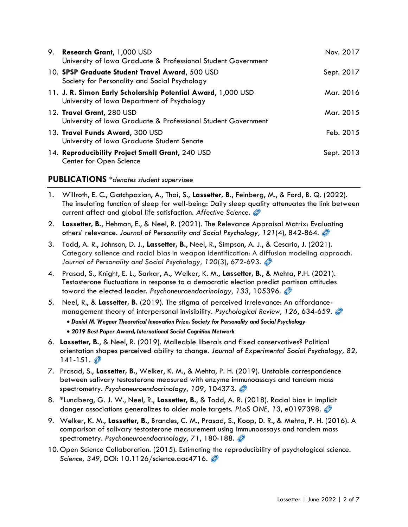| 9. | <b>Research Grant, 1,000 USD</b><br>University of Iowa Graduate & Professional Student Government           | Nov. 2017  |
|----|-------------------------------------------------------------------------------------------------------------|------------|
|    | 10. SPSP Graduate Student Travel Award, 500 USD<br>Society for Personality and Social Psychology            | Sept. 2017 |
|    | 11. J. R. Simon Early Scholarship Potential Award, 1,000 USD<br>University of Iowa Department of Psychology | Mar. 2016  |
|    | 12. Travel Grant, 280 USD<br>University of Iowa Graduate & Professional Student Government                  | Mar. 2015  |
|    | 13. Travel Funds Award, 300 USD<br>University of Iowa Graduate Student Senate                               | Feb. 2015  |
|    | 14. Reproducibility Project Small Grant, 240 USD<br>Center for Open Science                                 | Sept. 2013 |

### PUBLICATIONS \*denotes student supervisee

- 1. Willroth, E. C., Gatchpazian, A., Thai, S., Lassetter, B., Feinberg, M., & Ford, B. Q. (2022). The insulating function of sleep for well-being: Daily sleep quality attenuates the link between current affect and global life satisfaction. Affective Science.
- 2. Lassetter, B., Hehman, E., & Neel, R. (2021). The Relevance Appraisal Matrix: Evaluating others' relevance. Journal of Personality and Social Psychology, 121(4), 842-864.
- 3. Todd, A. R., Johnson, D. J., Lassetter, B., Neel, R., Simpson, A. J., & Cesario, J. (2021). Category salience and racial bias in weapon identification: A diffusion modeling approach. Journal of Personality and Social Psychology, 120(3), 672-693.
- 4. Prasad, S., Knight, E. L., Sarkar, A., Welker, K. M., Lassetter, B., & Mehta, P.H. (2021). Testosterone fluctuations in response to a democratic election predict partisan attitudes toward the elected leader. Psychoneuroendocrinology, 133, 105396.
- 5. Neel, R., & Lassetter, B. (2019). The stigma of perceived irrelevance: An affordancemanagement theory of interpersonal invisibility. Psychological Review, 126, 634-659.
	- Daniel M. Wegner Theoretical Innovation Prize, Society for Personality and Social Psychology 2019 Best Paper Award, International Social Cognition Network
- 6. Lassetter, B., & Neel, R. (2019). Malleable liberals and fixed conservatives? Political orientation shapes perceived ability to change. Journal of Experimental Social Psychology, 82,  $141 - 151.$   $\circ$
- 7. Prasad, S., Lassetter, B., Welker, K. M., & Mehta, P. H. (2019). Unstable correspondence between salivary testosterone measured with enzyme immunoassays and tandem mass spectrometry. Psychoneuroendocrinology, 109, 104373.
- 8. \*Lundberg, G. J. W., Neel, R., Lassetter, B., & Todd, A. R. (2018). Racial bias in implicit danger associations generalizes to older male targets. PLoS ONE, 13, e0197398.
- 9. Welker, K. M., Lassetter, B., Brandes, C. M., Prasad, S., Koop, D. R., & Mehta, P. H. (2016). A comparison of salivary testosterone measurement using immunoassays and tandem mass spectrometry. Psychoneuroendocrinology, 71, 180-188.
- 10. Open Science Collaboration. (2015). Estimating the reproducibility of psychological science. Science, 349, DOI: 10.1126/science.aac4716.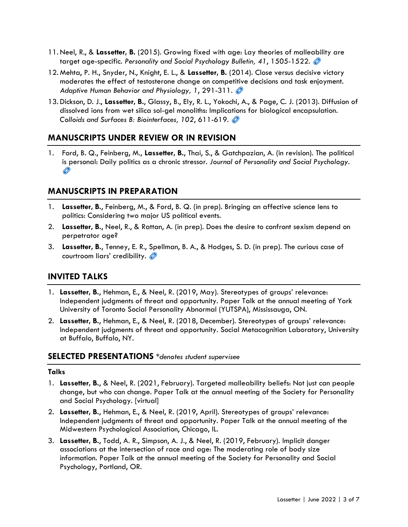- 11. Neel, R., & Lassetter, B. (2015). Growing fixed with age: Lay theories of malleability are target age-specific. Personality and Social Psychology Bulletin, 41, 1505-1522.  $\oslash$
- 12. Mehta, P. H., Snyder, N., Knight, E. L., & Lassetter, B. (2014). Close versus decisive victory moderates the effect of testosterone change on competitive decisions and task enjoyment. Adaptive Human Behavior and Physiology, 1, 291-311.
- 13. Dickson, D. J., Lassetter, B., Glassy, B., Ely, R. L., Yokochi, A., & Page, C. J. (2013). Diffusion of dissolved ions from wet silica sol-gel monoliths: Implications for biological encapsulation. Colloids and Surfaces B: Biointerfaces, 102, 611-619.

# MANUSCRIPTS UNDER REVIEW OR IN REVISION

1. Ford, B. Q., Feinberg, M., Lassetter, B., Thai, S., & Gatchpazian, A. (in revision). The political is personal: Daily politics as a chronic stressor. Journal of Personality and Social Psychology.  $\circledcirc$ 

### MANUSCRIPTS IN PREPARATION

- 1. Lassetter, B., Feinberg, M., & Ford, B. Q. (in prep). Bringing an affective science lens to politics: Considering two major US political events.
- 2. Lassetter, B., Neel, R., & Rattan, A. (in prep). Does the desire to confront sexism depend on perpetrator age?
- 3. Lassetter, B., Tenney, E. R., Spellman, B. A., & Hodges, S. D. (in prep). The curious case of courtroom liars' credibility.

### INVITED TALKS

- 1. Lassetter, B., Hehman, E., & Neel, R. (2019, May). Stereotypes of groups' relevance: Independent judgments of threat and opportunity. Paper Talk at the annual meeting of York University of Toronto Social Personality Abnormal (YUTSPA), Mississauga, ON.
- 2. Lassetter, B., Hehman, E., & Neel, R. (2018, December). Stereotypes of groups' relevance: Independent judgments of threat and opportunity. Social Metacognition Laboratory, University at Buffalo, Buffalo, NY.

### SELECTED PRESENTATIONS \*denotes student supervisee

#### **Talks**

- 1. Lassetter, B., & Neel, R. (2021, February). Targeted malleability beliefs: Not just can people change, but who can change. Paper Talk at the annual meeting of the Society for Personality and Social Psychology. [virtual]
- 2. Lassetter, B., Hehman, E., & Neel, R. (2019, April). Stereotypes of groups' relevance: Independent judgments of threat and opportunity. Paper Talk at the annual meeting of the Midwestern Psychological Association, Chicago, IL.
- 3. Lassetter, B., Todd, A. R., Simpson, A. J., & Neel, R. (2019, February). Implicit danger associations at the intersection of race and age: The moderating role of body size information. Paper Talk at the annual meeting of the Society for Personality and Social Psychology, Portland, OR.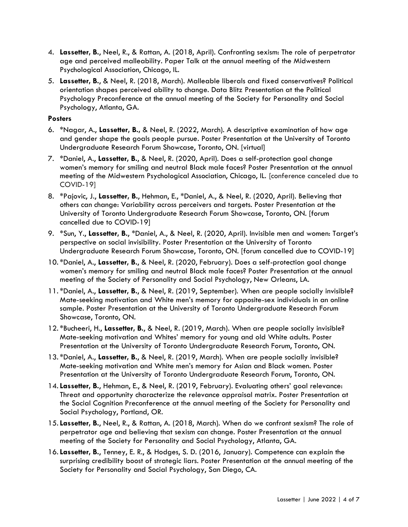- 4. Lassetter, B., Neel, R., & Rattan, A. (2018, April). Confronting sexism: The role of perpetrator age and perceived malleability. Paper Talk at the annual meeting of the Midwestern Psychological Association, Chicago, IL.
- 5. Lassetter, B., & Neel, R. (2018, March). Malleable liberals and fixed conservatives? Political orientation shapes perceived ability to change. Data Blitz Presentation at the Political Psychology Preconference at the annual meeting of the Society for Personality and Social Psychology, Atlanta, GA.

#### **Posters**

- 6. \*Nagar, A., Lassetter, B., & Neel, R. (2022, March). A descriptive examination of how age and gender shape the goals people pursue. Poster Presentation at the University of Toronto Undergraduate Research Forum Showcase, Toronto, ON. [virtual]
- 7. \*Daniel, A., Lassetter, B., & Neel, R. (2020, April). Does a self-protection goal change women's memory for smiling and neutral Black male faces? Poster Presentation at the annual meeting of the Midwestern Psychological Association, Chicago, IL. [conference canceled due to COVID-19]
- 8. \*Pajovic, J., Lassetter, B., Hehman, E., \*Daniel, A., & Neel, R. (2020, April). Believing that others can change: Variability across perceivers and targets. Poster Presentation at the University of Toronto Undergraduate Research Forum Showcase, Toronto, ON. [forum cancelled due to COVID-19]
- 9. \*Sun, Y., Lassetter, B., \*Daniel, A., & Neel, R. (2020, April). Invisible men and women: Target's perspective on social invisibility. Poster Presentation at the University of Toronto Undergraduate Research Forum Showcase, Toronto, ON. [forum cancelled due to COVID-19]
- 10. \*Daniel, A., Lassetter, B., & Neel, R. (2020, February). Does a self-protection goal change women's memory for smiling and neutral Black male faces? Poster Presentation at the annual meeting of the Society of Personality and Social Psychology, New Orleans, LA.
- 11. \*Daniel, A., Lassetter, B., & Neel, R. (2019, September). When are people socially invisible? Mate-seeking motivation and White men's memory for opposite-sex individuals in an online sample. Poster Presentation at the University of Toronto Undergraduate Research Forum Showcase, Toronto, ON.
- 12. \*Bucheeri, H., Lassetter, B., & Neel, R. (2019, March). When are people socially invisible? Mate-seeking motivation and Whites' memory for young and old White adults. Poster Presentation at the University of Toronto Undergraduate Research Forum, Toronto, ON.
- 13. \*Daniel, A., Lassetter, B., & Neel, R. (2019, March). When are people socially invisible? Mate-seeking motivation and White men's memory for Asian and Black women. Poster Presentation at the University of Toronto Undergraduate Research Forum, Toronto, ON.
- 14. Lassetter, B., Hehman, E., & Neel, R. (2019, February). Evaluating others' goal relevance: Threat and opportunity characterize the relevance appraisal matrix. Poster Presentation at the Social Cognition Preconference at the annual meeting of the Society for Personality and Social Psychology, Portland, OR.
- 15. Lassetter, B., Neel, R., & Rattan, A. (2018, March). When do we confront sexism? The role of perpetrator age and believing that sexism can change. Poster Presentation at the annual meeting of the Society for Personality and Social Psychology, Atlanta, GA.
- 16. Lassetter, B., Tenney, E. R., & Hodges, S. D. (2016, January). Competence can explain the surprising credibility boost of strategic liars. Poster Presentation at the annual meeting of the Society for Personality and Social Psychology, San Diego, CA.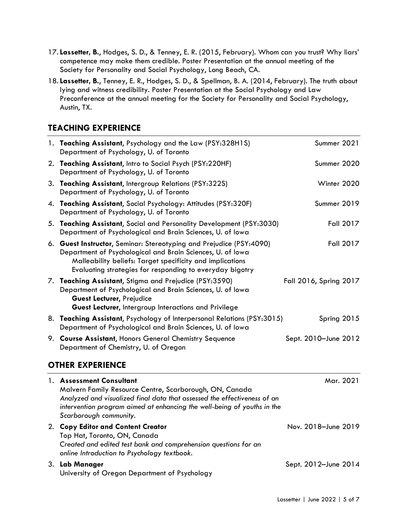- 17. Lassetter, B., Hodges, S. D., & Tenney, E. R. (2015, February). Whom can you trust? Why liars' competence may make them credible. Poster Presentation at the annual meeting of the Society for Personality and Social Psychology, Long Beach, CA.
- 18. Lassetter, B., Tenney, E. R., Hodges, S. D., & Spellman, B. A. (2014, February). The truth about lying and witness credibility. Poster Presentation at the Social Psychology and Law Preconference at the annual meeting for the Society for Personality and Social Psychology, Austin, TX.

## TEACHING EXPERIENCE

| 1. Teaching Assistant, Psychology and the Law (PSY:328H1S)<br>Department of Psychology, U. of Toronto                                                                                                                                                      | Summer 2021            |
|------------------------------------------------------------------------------------------------------------------------------------------------------------------------------------------------------------------------------------------------------------|------------------------|
| 2. Teaching Assistant, Intro to Social Psych (PSY:220HF)<br>Department of Psychology, U. of Toronto                                                                                                                                                        | Summer 2020            |
| 3. Teaching Assistant, Intergroup Relations (PSY:322S)<br>Department of Psychology, U. of Toronto                                                                                                                                                          | Winter 2020            |
| 4. Teaching Assistant, Social Psychology: Attitudes (PSY:320F)<br>Department of Psychology, U. of Toronto                                                                                                                                                  | Summer 2019            |
| 5. Teaching Assistant, Social and Personality Development (PSY:3030)<br>Department of Psychological and Brain Sciences, U. of Iowa                                                                                                                         | <b>Fall 2017</b>       |
| 6. Guest Instructor, Seminar: Stereotyping and Prejudice (PSY:4090)<br>Department of Psychological and Brain Sciences, U. of Iowa<br>Malleability beliefs: Target specificity and implications<br>Evaluating strategies for responding to everyday bigotry | Fall 2017              |
| 7. Teaching Assistant, Stigma and Prejudice (PSY:3590)<br>Department of Psychological and Brain Sciences, U. of Iowa<br>Guest Lecturer, Prejudice<br><b>Guest Lecturer, Intergroup Interactions and Privilege</b>                                          | Fall 2016, Spring 2017 |
| 8. Teaching Assistant, Psychology of Interpersonal Relations (PSY:3015)<br>Department of Psychological and Brain Sciences, U. of Iowa                                                                                                                      | Spring 2015            |
| 9. Course Assistant, Honors General Chemistry Sequence<br>Department of Chemistry, U. of Oregon                                                                                                                                                            | Sept. 2010-June 2012   |

## OTHER EXPERIENCE

| $\mathbf{1}$ . | <b>Assessment Consultant</b><br>Malvern Family Resource Centre, Scarborough, ON, Canada<br>Analyzed and visualized final data that assessed the effectiveness of an<br>intervention program aimed at enhancing the well-being of youths in the<br>Scarborough community. | Mar. 2021            |
|----------------|--------------------------------------------------------------------------------------------------------------------------------------------------------------------------------------------------------------------------------------------------------------------------|----------------------|
|                | 2. Copy Editor and Content Creator<br>Top Hat, Toronto, ON, Canada<br>Created and edited test bank and comprehension questions for an<br>online Introduction to Psychology textbook.                                                                                     | Nov. 2018-June 2019  |
| 3.             | Lab Manager<br>University of Oregon Department of Psychology                                                                                                                                                                                                             | Sept. 2012-June 2014 |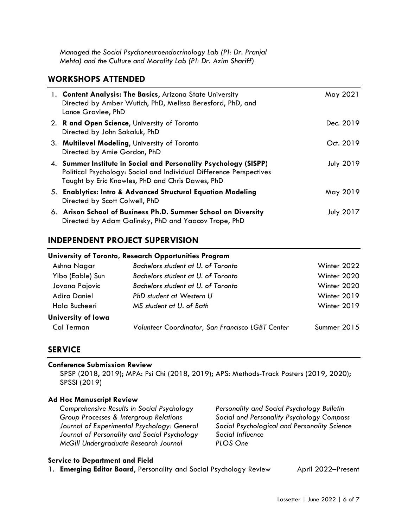Managed the Social Psychoneuroendocrinology Lab (PI: Dr. Pranjal Mehta) and the Culture and Morality Lab (PI: Dr. Azim Shariff)

### WORKSHOPS ATTENDED

| 1. Content Analysis: The Basics, Arizona State University<br>Directed by Amber Wutich, PhD, Melissa Beresford, PhD, and<br>Lance Gravlee, PhD                                               | May 2021         |
|---------------------------------------------------------------------------------------------------------------------------------------------------------------------------------------------|------------------|
| 2. R and Open Science, University of Toronto<br>Directed by John Sakaluk, PhD                                                                                                               | Dec. 2019        |
| 3. Multilevel Modeling, University of Toronto<br>Directed by Amie Gordon, PhD                                                                                                               | Oct. 2019        |
| 4. Summer Institute in Social and Personality Psychology (SISPP)<br>Political Psychology: Social and Individual Difference Perspectives<br>Taught by Eric Knowles, PhD and Chris Dawes, PhD | <b>July 2019</b> |
| 5. Enablytics: Intro & Advanced Structural Equation Modeling<br>Directed by Scott Colwell, PhD                                                                                              | May 2019         |
| 6. Arison School of Business Ph.D. Summer School on Diversity<br>Directed by Adam Galinsky, PhD and Yaacov Trope, PhD                                                                       | <b>July 2017</b> |

### INDEPENDENT PROJECT SUPERVISION

# University of Toronto, Research Opportunities Program Ashna Nagar Bachelors student at U. of Toronto **Winter 2022** Yibo (Eable) Sun Bachelors student at U. of Toronto Winter 2020 Jovana Pajovic Bachelors student at U. of Toronto Winter 2020 Adira Daniel PhD student at Western U Winter 2019 Hala Bucheeri MS student at U. of Bath Winter 2019 University of Iowa Cal Terman Volunteer Coordinator, San Francisco LGBT Center Summer 2015

### **SERVICE**

#### Conference Submission Review

SPSP (2018, 2019); MPA: Psi Chi (2018, 2019); APS: Methods-Track Posters (2019, 2020); SPSSI (2019)

#### Ad Hoc Manuscript Review

Comprehensive Results in Social Psychology Personality and Social Psychology Bulletin Group Processes & Intergroup Relations Social and Personality Psychology Compass Journal of Experimental Psychology: General Social Psychological and Personality Science Journal of Personality and Social Psychology Social Influence McGill Undergraduate Research Journal PLOS One

#### Service to Department and Field

1. **Emerging Editor Board, Personality and Social Psychology Review** April 2022–Present